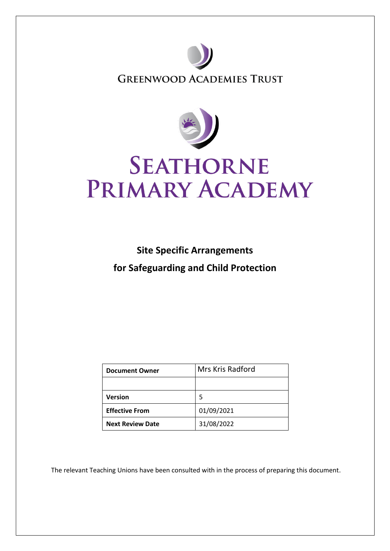



**Site Specific Arrangements**

**for Safeguarding and Child Protection**

| <b>Document Owner</b>   | <b>Mrs Kris Radford</b> |  |
|-------------------------|-------------------------|--|
|                         |                         |  |
| <b>Version</b>          |                         |  |
| <b>Effective From</b>   | 01/09/2021              |  |
| <b>Next Review Date</b> | 31/08/2022              |  |

The relevant Teaching Unions have been consulted with in the process of preparing this document.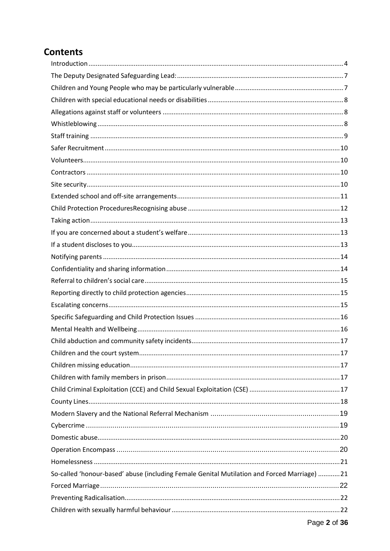# **Contents**

|                                                                                             | . 17 |
|---------------------------------------------------------------------------------------------|------|
|                                                                                             |      |
|                                                                                             |      |
|                                                                                             |      |
|                                                                                             |      |
|                                                                                             |      |
|                                                                                             |      |
|                                                                                             |      |
|                                                                                             |      |
|                                                                                             |      |
| So-called 'honour-based' abuse (including Female Genital Mutilation and Forced Marriage) 21 |      |
|                                                                                             |      |
|                                                                                             |      |
|                                                                                             |      |
|                                                                                             |      |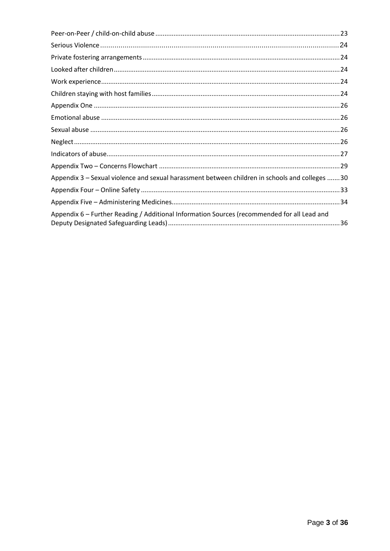| Appendix 3 - Sexual violence and sexual harassment between children in schools and colleges 30 |
|------------------------------------------------------------------------------------------------|
|                                                                                                |
|                                                                                                |
| Appendix 6 - Further Reading / Additional Information Sources (recommended for all Lead and    |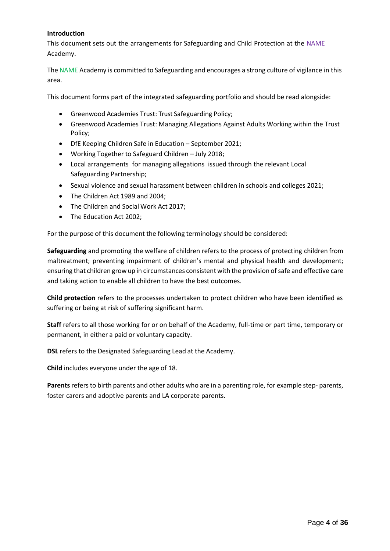## <span id="page-3-0"></span>**Introduction**

This document sets out the arrangements for Safeguarding and Child Protection at the NAME Academy.

The NAME Academy is committed to Safeguarding and encourages a strong culture of vigilance in this area.

This document forms part of the integrated safeguarding portfolio and should be read alongside:

- Greenwood Academies Trust: Trust Safeguarding Policy;
- Greenwood Academies Trust: Managing Allegations Against Adults Working within the Trust Policy;
- DfE Keeping Children Safe in Education September 2021;
- Working Together to Safeguard Children July 2018;
- Local arrangements for managing allegations issued through the relevant Local Safeguarding Partnership;
- Sexual violence and sexual harassment between children in schools and colleges 2021;
- The Children Act 1989 and 2004;
- The Children and Social Work Act 2017;
- The Education Act 2002:

For the purpose of this document the following terminology should be considered:

**Safeguarding** and promoting the welfare of children refers to the process of protecting children from maltreatment; preventing impairment of children's mental and physical health and development; ensuring that children grow up in circumstances consistent with the provision of safe and effective care and taking action to enable all children to have the best outcomes.

**Child protection** refers to the processes undertaken to protect children who have been identified as suffering or being at risk of suffering significant harm.

**Staff** refers to all those working for or on behalf of the Academy, full-time or part time, temporary or permanent, in either a paid or voluntary capacity.

**DSL** refers to the Designated Safeguarding Lead at the Academy.

**Child** includes everyone under the age of 18.

**Parents**refers to birth parents and other adults who are in a parenting role, for example step- parents, foster carers and adoptive parents and LA corporate parents.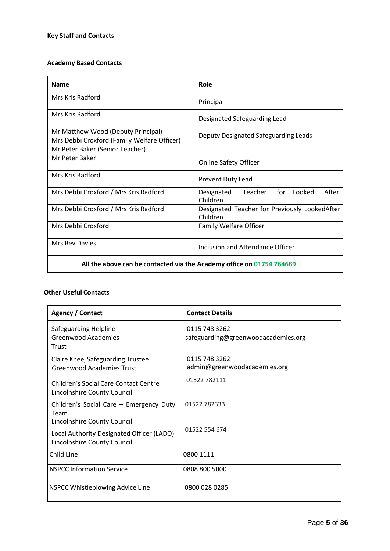## **Academy Based Contacts**

| <b>Name</b>                                                                                                          | Role                                                      |  |
|----------------------------------------------------------------------------------------------------------------------|-----------------------------------------------------------|--|
| Mrs Kris Radford                                                                                                     | Principal                                                 |  |
| Mrs Kris Radford                                                                                                     | Designated Safeguarding Lead                              |  |
| Mr Matthew Wood (Deputy Principal)<br>Mrs Debbi Croxford (Family Welfare Officer)<br>Mr Peter Baker (Senior Teacher) | Deputy Designated Safeguarding Leads                      |  |
| Mr Peter Baker                                                                                                       | <b>Online Safety Officer</b>                              |  |
| Mrs Kris Radford                                                                                                     | <b>Prevent Duty Lead</b>                                  |  |
| Mrs Debbi Croxford / Mrs Kris Radford                                                                                | After<br>Teacher<br>for Looked<br>Designated<br>Children  |  |
| Mrs Debbi Croxford / Mrs Kris Radford                                                                                | Designated Teacher for Previously LookedAfter<br>Children |  |
| Mrs Debbi Croxford                                                                                                   | <b>Family Welfare Officer</b>                             |  |
| <b>Mrs Bey Davies</b>                                                                                                | Inclusion and Attendance Officer                          |  |
| All the above can be contacted via the Academy office on 01754 764689                                                |                                                           |  |

## **Other Useful Contacts**

| Agency / Contact                                                               | <b>Contact Details</b>                               |
|--------------------------------------------------------------------------------|------------------------------------------------------|
| Safeguarding Helpline<br><b>Greenwood Academies</b><br>Trust                   | 0115 748 3262<br>safeguarding@greenwoodacademies.org |
| Claire Knee, Safeguarding Trustee<br><b>Greenwood Academies Trust</b>          | 0115 748 3262<br>admin@greenwoodacademies.org        |
| Children's Social Care Contact Centre<br>Lincolnshire County Council           | 01522 782111                                         |
| Children's Social Care - Emergency Duty<br>Team<br>Lincolnshire County Council | 01522782333                                          |
| Local Authority Designated Officer (LADO)<br>Lincolnshire County Council       | 01522 554 674                                        |
| Child Line                                                                     | 0800 1111                                            |
| <b>NSPCC Information Service</b>                                               | 0808 800 5000                                        |
| NSPCC Whistleblowing Advice Line                                               | 0800 028 0285                                        |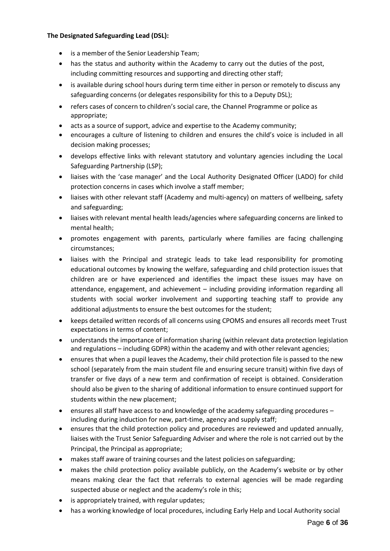## **The Designated Safeguarding Lead (DSL):**

- is a member of the Senior Leadership Team;
- has the status and authority within the Academy to carry out the duties of the post, including committing resources and supporting and directing other staff;
- is available during school hours during term time either in person or remotely to discuss any safeguarding concerns (or delegates responsibility for this to a Deputy DSL);
- refers cases of concern to children's social care, the Channel Programme or police as appropriate;
- acts as a source of support, advice and expertise to the Academy community;
- encourages a culture of listening to children and ensures the child's voice is included in all decision making processes;
- develops effective links with relevant statutory and voluntary agencies including the Local Safeguarding Partnership (LSP);
- liaises with the 'case manager' and the Local Authority Designated Officer (LADO) for child protection concerns in cases which involve a staff member;
- liaises with other relevant staff (Academy and multi-agency) on matters of wellbeing, safety and safeguarding;
- liaises with relevant mental health leads/agencies where safeguarding concerns are linked to mental health;
- promotes engagement with parents, particularly where families are facing challenging circumstances;
- liaises with the Principal and strategic leads to take lead responsibility for promoting educational outcomes by knowing the welfare, safeguarding and child protection issues that children are or have experienced and identifies the impact these issues may have on attendance, engagement, and achievement – including providing information regarding all students with social worker involvement and supporting teaching staff to provide any additional adjustments to ensure the best outcomes for the student;
- keeps detailed written records of all concerns using CPOMS and ensures all records meet Trust expectations in terms of content;
- understands the importance of information sharing (within relevant data protection legislation and regulations – including GDPR) within the academy and with other relevant agencies;
- ensures that when a pupil leaves the Academy, their child protection file is passed to the new school (separately from the main student file and ensuring secure transit) within five days of transfer or five days of a new term and confirmation of receipt is obtained. Consideration should also be given to the sharing of additional information to ensure continued support for students within the new placement;
- ensures all staff have access to and knowledge of the academy safeguarding procedures including during induction for new, part-time, agency and supply staff;
- ensures that the child protection policy and procedures are reviewed and updated annually, liaises with the Trust Senior Safeguarding Adviser and where the role is not carried out by the Principal, the Principal as appropriate;
- makes staff aware of training courses and the latest policies on safeguarding;
- makes the child protection policy available publicly, on the Academy's website or by other means making clear the fact that referrals to external agencies will be made regarding suspected abuse or neglect and the academy's role in this;
- is appropriately trained, with regular updates;
- has a working knowledge of local procedures, including Early Help and Local Authority social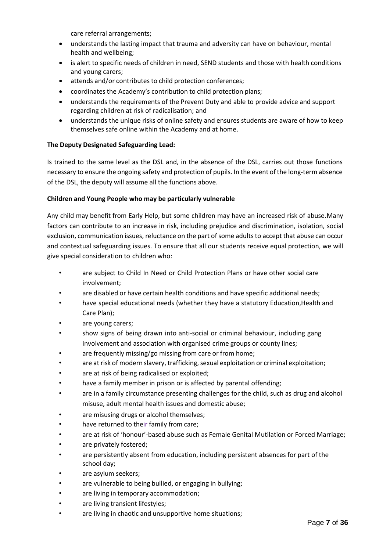care referral arrangements;

- understands the lasting impact that trauma and adversity can have on behaviour, mental health and wellbeing;
- is alert to specific needs of children in need, SEND students and those with health conditions and young carers;
- attends and/or contributes to child protection conferences;
- coordinates the Academy's contribution to child protection plans;
- understands the requirements of the Prevent Duty and able to provide advice and support regarding children at risk of radicalisation; and
- understands the unique risks of online safety and ensures students are aware of how to keep themselves safe online within the Academy and at home.

## <span id="page-6-0"></span>**The Deputy Designated Safeguarding Lead:**

Is trained to the same level as the DSL and, in the absence of the DSL, carries out those functions necessary to ensure the ongoing safety and protection of pupils. In the event of the long-term absence of the DSL, the deputy will assume all the functions above.

## <span id="page-6-1"></span>**Children and Young People who may be particularly vulnerable**

Any child may benefit from Early Help, but some children may have an increased risk of abuse.Many factors can contribute to an increase in risk, including prejudice and discrimination, isolation, social exclusion, communication issues, reluctance on the part of some adults to accept that abuse can occur and contextual safeguarding issues. To ensure that all our students receive equal protection, we will give special consideration to children who:

- are subject to Child In Need or Child Protection Plans or have other social care involvement;
- are disabled or have certain health conditions and have specific additional needs;
- have special educational needs (whether they have a statutory Education, Health and Care Plan);
- are young carers;
- show signs of being drawn into anti-social or criminal behaviour, including gang involvement and association with organised crime groups or county lines;
- are frequently missing/go missing from care or from home;
- are at risk of modern slavery, trafficking, sexual exploitation or criminal exploitation;
- are at risk of being radicalised or exploited;
- have a family member in prison or is affected by parental offending;
- are in a family circumstance presenting challenges for the child, such as drug and alcohol misuse, adult mental health issues and domestic abuse;
- are misusing drugs or alcohol themselves;
- have returned to their family from care;
- are at risk of 'honour'-based abuse such as Female Genital Mutilation or Forced Marriage;
- are privately fostered;
- are persistently absent from education, including persistent absences for part of the school day;
- are asylum seekers;
- are vulnerable to being bullied, or engaging in bullying;
- are living in temporary accommodation;
- are living transient lifestyles;
- are living in chaotic and unsupportive home situations;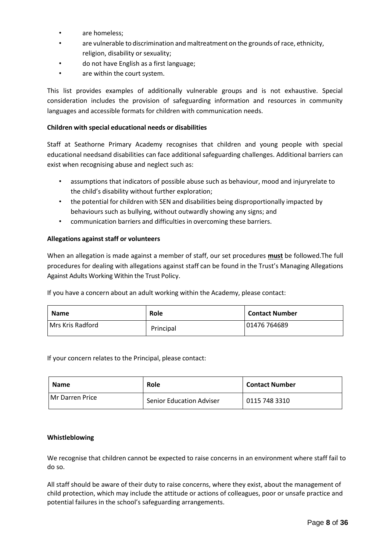- are homeless:
- are vulnerable to discrimination and maltreatment on the grounds of race, ethnicity, religion, disability or sexuality;
- do not have English as a first language;
- are within the court system.

This list provides examples of additionally vulnerable groups and is not exhaustive. Special consideration includes the provision of safeguarding information and resources in community languages and accessible formats for children with communication needs.

#### <span id="page-7-0"></span>**Children with special educational needs or disabilities**

Staff at Seathorne Primary Academy recognises that children and young people with special educational needsand disabilities can face additional safeguarding challenges. Additional barriers can exist when recognising abuse and neglect such as:

- assumptions that indicators of possible abuse such as behaviour, mood and injuryrelate to the child's disability without further exploration;
- the potential for children with SEN and disabilities being disproportionally impacted by behaviours such as bullying, without outwardly showing any signs; and
- communication barriers and difficulties in overcoming these barriers.

## <span id="page-7-1"></span>**Allegations against staff or volunteers**

When an allegation is made against a member of staff, our set procedures **must** be followed.The full procedures for dealing with allegations against staff can be found in the Trust's Managing Allegations Against Adults Working Within the Trust Policy.

If you have a concern about an adult working within the Academy, please contact:

| <b>Name</b>      | Role      | <b>Contact Number</b> |
|------------------|-----------|-----------------------|
| Mrs Kris Radford | Principal | 01476 764689          |

If your concern relates to the Principal, please contact:

| <b>Name</b>             | Role                            | <b>Contact Number</b> |
|-------------------------|---------------------------------|-----------------------|
| <b>IMr Darren Price</b> | <b>Senior Education Adviser</b> | 0115 748 3310         |

#### <span id="page-7-2"></span>**Whistleblowing**

We recognise that children cannot be expected to raise concerns in an environment where staff fail to do so.

All staff should be aware of their duty to raise concerns, where they exist, about the management of child protection, which may include the attitude or actions of colleagues, poor or unsafe practice and potential failures in the school's safeguarding arrangements.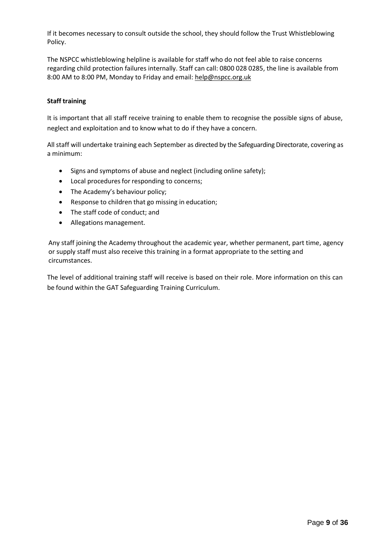If it becomes necessary to consult outside the school, they should follow the Trust Whistleblowing Policy.

The NSPCC whistleblowing helpline is available for staff who do not feel able to raise concerns regarding child protection failures internally. Staff can call: 0800 028 0285, the line is available from 8:00 AM to 8:00 PM, Monday to Friday and email[: help@nspcc.org.uk](mailto:help@nspcc.org.uk)

## <span id="page-8-0"></span>**Staff training**

It is important that all staff receive training to enable them to recognise the possible signs of abuse, neglect and exploitation and to know what to do if they have a concern.

All staff will undertake training each September as directed by the Safeguarding Directorate, covering as a minimum:

- Signs and symptoms of abuse and neglect (including online safety);
- Local procedures for responding to concerns;
- The Academy's behaviour policy;
- Response to children that go missing in education;
- The staff code of conduct; and
- Allegations management.

Any staff joining the Academy throughout the academic year, whether permanent, part time, agency or supply staff must also receive this training in a format appropriate to the setting and circumstances.

The level of additional training staff will receive is based on their role. More information on this can be found within the GAT Safeguarding Training Curriculum.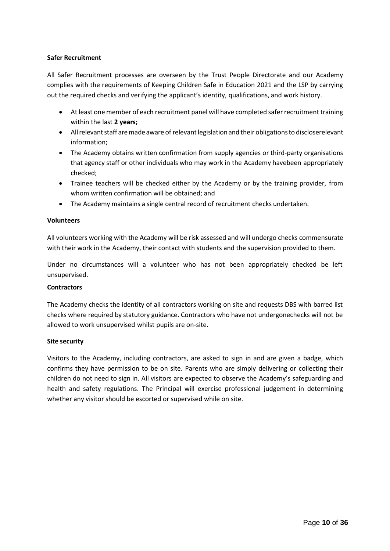## <span id="page-9-0"></span>**Safer Recruitment**

All Safer Recruitment processes are overseen by the Trust People Directorate and our Academy complies with the requirements of Keeping Children Safe in Education 2021 and the LSP by carrying out the required checks and verifying the applicant's identity, qualifications, and work history.

- At least one member of each recruitment panel will have completed safer recruitment training within the last **2 years;**
- All relevant staff are made aware of relevant legislation and their obligations to discloserelevant information;
- The Academy obtains written confirmation from supply agencies or third-party organisations that agency staff or other individuals who may work in the Academy havebeen appropriately checked;
- Trainee teachers will be checked either by the Academy or by the training provider, from whom written confirmation will be obtained; and
- The Academy maintains a single central record of recruitment checks undertaken.

## <span id="page-9-1"></span>**Volunteers**

All volunteers working with the Academy will be risk assessed and will undergo checks commensurate with their work in the Academy, their contact with students and the supervision provided to them.

Under no circumstances will a volunteer who has not been appropriately checked be left unsupervised.

#### <span id="page-9-2"></span>**Contractors**

The Academy checks the identity of all contractors working on site and requests DBS with barred list checks where required by statutory guidance. Contractors who have not undergonechecks will not be allowed to work unsupervised whilst pupils are on-site.

#### <span id="page-9-3"></span>**Site security**

Visitors to the Academy, including contractors, are asked to sign in and are given a badge, which confirms they have permission to be on site. Parents who are simply delivering or collecting their children do not need to sign in. All visitors are expected to observe the Academy's safeguarding and health and safety regulations. The Principal will exercise professional judgement in determining whether any visitor should be escorted or supervised while on site.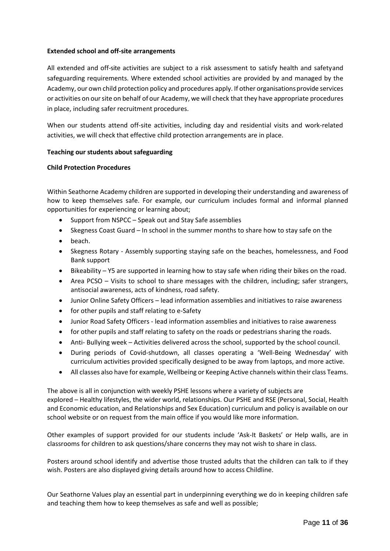## <span id="page-10-0"></span>**Extended school and off-site arrangements**

All extended and off-site activities are subject to a risk assessment to satisfy health and safetyand safeguarding requirements. Where extended school activities are provided by and managed by the Academy, our own child protection policy and procedures apply. If other organisations provide services or activities on oursite on behalf of our Academy, we will check that they have appropriate procedures in place, including safer recruitment procedures.

When our students attend off-site activities, including day and residential visits and work-related activities, we will check that effective child protection arrangements are in place.

## **Teaching our students about safeguarding**

## **Child Protection Procedures**

Within Seathorne Academy children are supported in developing their understanding and awareness of how to keep themselves safe. For example, our curriculum includes formal and informal planned opportunities for experiencing or learning about;

- Support from NSPCC Speak out and Stay Safe assemblies
- Skegness Coast Guard In school in the summer months to share how to stay safe on the
- beach.
- Skegness Rotary Assembly supporting staying safe on the beaches, homelessness, and Food Bank support
- Bikeability Y5 are supported in learning how to stay safe when riding their bikes on the road.
- Area PCSO Visits to school to share messages with the children, including; safer strangers, antisocial awareness, acts of kindness, road safety.
- Junior Online Safety Officers lead information assemblies and initiatives to raise awareness
- for other pupils and staff relating to e-Safety
- Junior Road Safety Officers lead information assemblies and initiatives to raise awareness
- for other pupils and staff relating to safety on the roads or pedestrians sharing the roads.
- Anti- Bullying week Activities delivered across the school, supported by the school council.
- During periods of Covid-shutdown, all classes operating a 'Well-Being Wednesday' with curriculum activities provided specifically designed to be away from laptops, and more active.
- All classes also have for example, Wellbeing or Keeping Active channels within their class Teams.

The above is all in conjunction with weekly PSHE lessons where a variety of subjects are explored – Healthy lifestyles, the wider world, relationships. Our PSHE and RSE (Personal, Social, Health and Economic education, and Relationships and Sex Education) curriculum and policy is available on our school website or on request from the main office if you would like more information.

Other examples of support provided for our students include 'Ask-It Baskets' or Help walls, are in classrooms for children to ask questions/share concerns they may not wish to share in class.

Posters around school identify and advertise those trusted adults that the children can talk to if they wish. Posters are also displayed giving details around how to access Childline.

Our Seathorne Values play an essential part in underpinning everything we do in keeping children safe and teaching them how to keep themselves as safe and well as possible;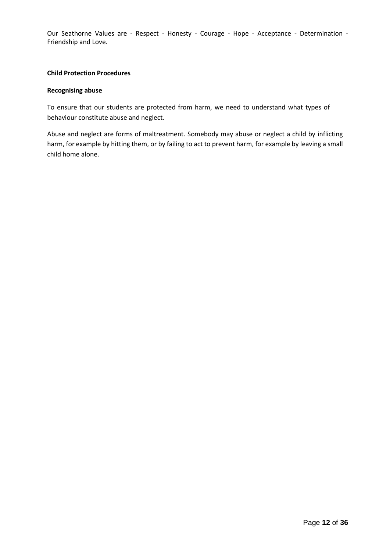Our Seathorne Values are - Respect - Honesty - Courage - Hope - Acceptance - Determination - Friendship and Love.

#### <span id="page-11-0"></span>**Child Protection Procedures**

#### **Recognising abuse**

To ensure that our students are protected from harm, we need to understand what types of behaviour constitute abuse and neglect.

Abuse and neglect are forms of maltreatment. Somebody may abuse or neglect a child by inflicting harm, for example by hitting them, or by failing to act to prevent harm, for example by leaving a small child home alone.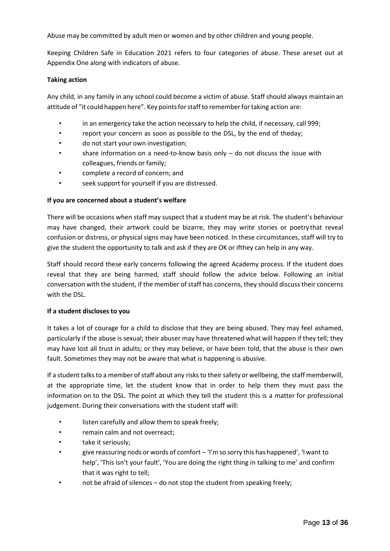Abuse may be committed by adult men or women and by other children and young people.

Keeping Children Safe in Education 2021 refers to four categories of abuse. These areset out at Appendix One along with indicators of abuse.

## <span id="page-12-0"></span>**Taking action**

Any child, in any family in any school could become a victim of abuse. Staff should always maintain an attitude of "it could happen here". Key points for staff to remember for taking action are:

- in an emergency take the action necessary to help the child, if necessary, call 999;
- report your concern as soon as possible to the DSL, by the end of theday;
- do not start your own investigation;
- share information on a need-to-know basis only do not discuss the issue with colleagues, friends or family;
- complete a record of concern; and
- seek support for yourself if you are distressed.

## <span id="page-12-1"></span>**If you are concerned about a student's welfare**

There will be occasions when staff may suspect that a student may be at risk. The student's behaviour may have changed, their artwork could be bizarre, they may write stories or poetrythat reveal confusion or distress, or physical signs may have been noticed. In these circumstances, staff will try to give the student the opportunity to talk and ask if they are OK or ifthey can help in any way.

Staff should record these early concerns following the agreed Academy process. If the student does reveal that they are being harmed, staff should follow the advice below. Following an initial conversation with the student, if the member of staff has concerns, they should discuss their concerns with the DSL.

#### <span id="page-12-2"></span>**If a student discloses to you**

It takes a lot of courage for a child to disclose that they are being abused. They may feel ashamed, particularly if the abuse is sexual; their abuser may have threatened what will happen if they tell; they may have lost all trust in adults; or they may believe, or have been told, that the abuse is their own fault. Sometimes they may not be aware that what is happening is abusive.

If a student talks to a member of staff about any risks to their safety or wellbeing, the staff memberwill, at the appropriate time, let the student know that in order to help them they must pass the information on to the DSL. The point at which they tell the student this is a matter for professional judgement. During their conversations with the student staff will:

- listen carefully and allow them to speak freely;
- remain calm and not overreact;
- take it seriously;
- give reassuring nods or words of comfort 'I'm so sorry this has happened', 'I want to help', 'This isn't your fault', 'You are doing the right thing in talking to me' and confirm that it was right to tell;
- not be afraid of silences do not stop the student from speaking freely;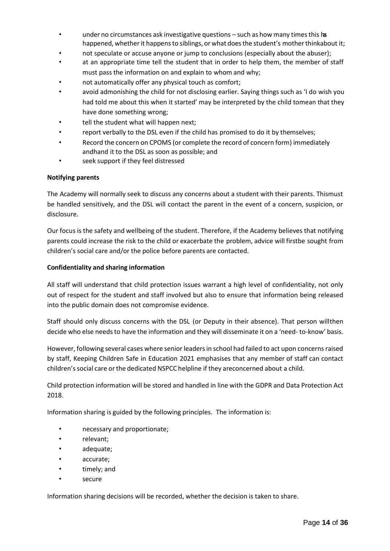- under no circumstances ask investigative questions such as how many timesthis has happened, whether it happens to siblings, or what does the student's mother thinkabout it;
- not speculate or accuse anyone or jump to conclusions (especially about the abuser);
- at an appropriate time tell the student that in order to help them, the member of staff must pass the information on and explain to whom and why;
- not automatically offer any physical touch as comfort;
- avoid admonishing the child for not disclosing earlier. Saying things such as 'I do wish you had told me about this when it started' may be interpreted by the child tomean that they have done something wrong;
- tell the student what will happen next;
- report verbally to the DSL even if the child has promised to do it by themselves;
- Record the concern on CPOMS (or complete the record of concern form) immediately andhand it to the DSL as soon as possible; and
- seek support if they feel distressed

## <span id="page-13-0"></span>**Notifying parents**

The Academy will normally seek to discuss any concerns about a student with their parents. Thismust be handled sensitively, and the DSL will contact the parent in the event of a concern, suspicion, or disclosure.

Our focus is the safety and wellbeing of the student. Therefore, if the Academy believes that notifying parents could increase the risk to the child or exacerbate the problem, advice will firstbe sought from children's social care and/or the police before parents are contacted.

## <span id="page-13-1"></span>**Confidentiality and sharing information**

All staff will understand that child protection issues warrant a high level of confidentiality, not only out of respect for the student and staff involved but also to ensure that information being released into the public domain does not compromise evidence.

Staff should only discuss concerns with the DSL (or Deputy in their absence). That person willthen decide who else needs to have the information and they will disseminate it on a 'need- to-know' basis.

However, following several cases where senior leaders in school had failed to act upon concerns raised by staff, Keeping Children Safe in Education 2021 emphasises that any member of staff can contact children'ssocial care orthe dedicated NSPCC helpline if they areconcerned about a child.

Child protection information will be stored and handled in line with the GDPR and Data Protection Act 2018.

Information sharing is guided by the following principles. The information is:

- necessary and proportionate;
- relevant;
- adequate;
- accurate;
- timely; and
- secure

Information sharing decisions will be recorded, whether the decision is taken to share.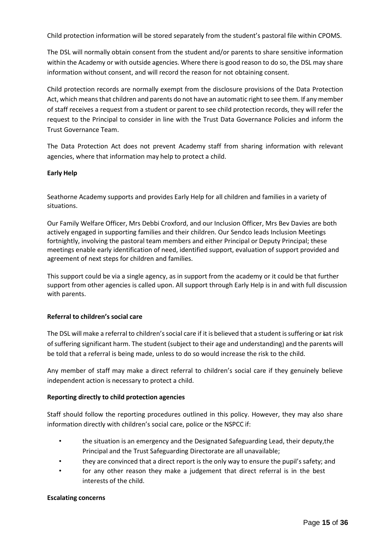Child protection information will be stored separately from the student's pastoral file within CPOMS.

The DSL will normally obtain consent from the student and/or parents to share sensitive information within the Academy or with outside agencies. Where there is good reason to do so, the DSL may share information without consent, and will record the reason for not obtaining consent.

Child protection records are normally exempt from the disclosure provisions of the Data Protection Act, which means that children and parents do not have an automatic right to see them. If any member of staff receives a request from a student or parent to see child protection records, they will refer the request to the Principal to consider in line with the Trust Data Governance Policies and inform the Trust Governance Team.

The Data Protection Act does not prevent Academy staff from sharing information with relevant agencies, where that information may help to protect a child.

## **Early Help**

Seathorne Academy supports and provides Early Help for all children and families in a variety of situations.

Our Family Welfare Officer, Mrs Debbi Croxford, and our Inclusion Officer, Mrs Bev Davies are both actively engaged in supporting families and their children. Our Sendco leads Inclusion Meetings fortnightly, involving the pastoral team members and either Principal or Deputy Principal; these meetings enable early identification of need, identified support, evaluation of support provided and agreement of next steps for children and families.

This support could be via a single agency, as in support from the academy or it could be that further support from other agencies is called upon. All support through Early Help is in and with full discussion with parents.

#### <span id="page-14-0"></span>**Referral to children's social care**

The DSL will make a referral to children's social care if it is believed that a student is suffering or sat risk of suffering significant harm. The student (subject to their age and understanding) and the parents will be told that a referral is being made, unless to do so would increase the risk to the child.

Any member of staff may make a direct referral to children's social care if they genuinely believe independent action is necessary to protect a child.

#### <span id="page-14-1"></span>**Reporting directly to child protection agencies**

Staff should follow the reporting procedures outlined in this policy. However, they may also share information directly with children's social care, police or the NSPCC if:

- the situation is an emergency and the Designated Safeguarding Lead, their deputy,the Principal and the Trust Safeguarding Directorate are all unavailable;
- they are convinced that a direct report is the only way to ensure the pupil's safety; and
- for any other reason they make a judgement that direct referral is in the best interests of the child.

#### <span id="page-14-2"></span>**Escalating concerns**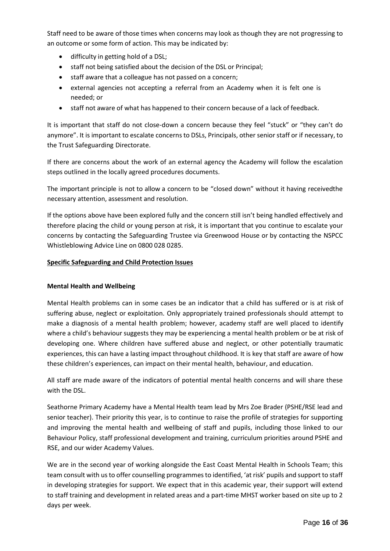Staff need to be aware of those times when concerns may look as though they are not progressing to an outcome or some form of action. This may be indicated by:

- difficulty in getting hold of a DSL;
- staff not being satisfied about the decision of the DSL or Principal;
- staff aware that a colleague has not passed on a concern;
- external agencies not accepting a referral from an Academy when it is felt one is needed; or
- staff not aware of what has happened to their concern because of a lack of feedback.

It is important that staff do not close-down a concern because they feel "stuck" or "they can't do anymore". It is important to escalate concerns to DSLs, Principals, other senior staff or if necessary, to the Trust Safeguarding Directorate.

If there are concerns about the work of an external agency the Academy will follow the escalation steps outlined in the locally agreed procedures documents.

The important principle is not to allow a concern to be "closed down" without it having receivedthe necessary attention, assessment and resolution.

If the options above have been explored fully and the concern still isn't being handled effectively and therefore placing the child or young person at risk, it is important that you continue to escalate your concerns by contacting the Safeguarding Trustee via Greenwood House or by contacting the NSPCC Whistleblowing Advice Line on 0800 028 0285.

## <span id="page-15-0"></span>**Specific Safeguarding and Child Protection Issues**

#### <span id="page-15-1"></span>**Mental Health and Wellbeing**

Mental Health problems can in some cases be an indicator that a child has suffered or is at risk of suffering abuse, neglect or exploitation. Only appropriately trained professionals should attempt to make a diagnosis of a mental health problem; however, academy staff are well placed to identify where a child's behaviour suggests they may be experiencing a mental health problem or be at risk of developing one. Where children have suffered abuse and neglect, or other potentially traumatic experiences, this can have a lasting impact throughout childhood. It is key that staff are aware of how these children's experiences, can impact on their mental health, behaviour, and education.

All staff are made aware of the indicators of potential mental health concerns and will share these with the DSL.

Seathorne Primary Academy have a Mental Health team lead by Mrs Zoe Brader (PSHE/RSE lead and senior teacher). Their priority this year, is to continue to raise the profile of strategies for supporting and improving the mental health and wellbeing of staff and pupils, including those linked to our Behaviour Policy, staff professional development and training, curriculum priorities around PSHE and RSE, and our wider Academy Values.

We are in the second year of working alongside the East Coast Mental Health in Schools Team; this team consult with us to offer counselling programmes to identified, 'at risk' pupils and support to staff in developing strategies for support. We expect that in this academic year, their support will extend to staff training and development in related areas and a part-time MHST worker based on site up to 2 days per week.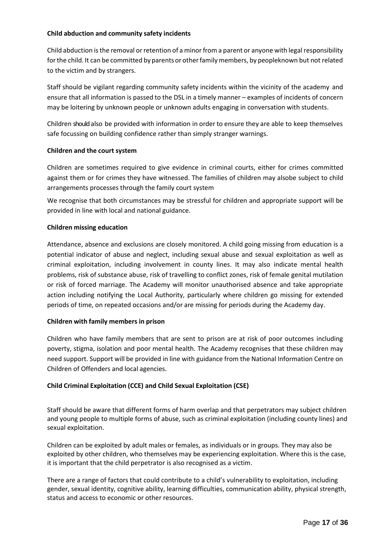## <span id="page-16-0"></span>**Child abduction and community safety incidents**

Child abduction is the removal or retention of a minor from a parent or anyone with legal responsibility for the child. It can be committed by parents or other family members, by peopleknown but not related to the victim and by strangers.

Staff should be vigilant regarding community safety incidents within the vicinity of the academy and ensure that all information is passed to the DSL in a timely manner – examples of incidents of concern may be loitering by unknown people or unknown adults engaging in conversation with students.

Children should also be provided with information in order to ensure they are able to keep themselves safe focussing on building confidence rather than simply stranger warnings.

## <span id="page-16-1"></span>**Children and the court system**

Children are sometimes required to give evidence in criminal courts, either for crimes committed against them or for crimes they have witnessed. The families of children may alsobe subject to child arrangements processes through the family court system

We recognise that both circumstances may be stressful for children and appropriate support will be provided in line with local and national guidance.

## <span id="page-16-2"></span>**Children missing education**

Attendance, absence and exclusions are closely monitored. A child going missing from education is a potential indicator of abuse and neglect, including sexual abuse and sexual exploitation as well as criminal exploitation, including involvement in county lines. It may also indicate mental health problems, risk of substance abuse, risk of travelling to conflict zones, risk of female genital mutilation or risk of forced marriage. The Academy will monitor unauthorised absence and take appropriate action including notifying the Local Authority, particularly where children go missing for extended periods of time, on repeated occasions and/or are missing for periods during the Academy day.

#### <span id="page-16-3"></span>**Children with family members in prison**

Children who have family members that are sent to prison are at risk of poor outcomes including poverty, stigma, isolation and poor mental health. The Academy recognises that these children may need support. Support will be provided in line with guidance from the National Information Centre on Children of Offenders and local agencies.

## <span id="page-16-4"></span>**Child Criminal Exploitation (CCE) and Child Sexual Exploitation (CSE)**

Staff should be aware that different forms of harm overlap and that perpetrators may subject children and young people to multiple forms of abuse, such as criminal exploitation (including county lines) and sexual exploitation.

Children can be exploited by adult males or females, as individuals or in groups. They may also be exploited by other children, who themselves may be experiencing exploitation. Where this is the case, it is important that the child perpetrator is also recognised as a victim.

There are a range of factors that could contribute to a child's vulnerability to exploitation, including gender, sexual identity, cognitive ability, learning difficulties, communication ability, physical strength, status and access to economic or other resources.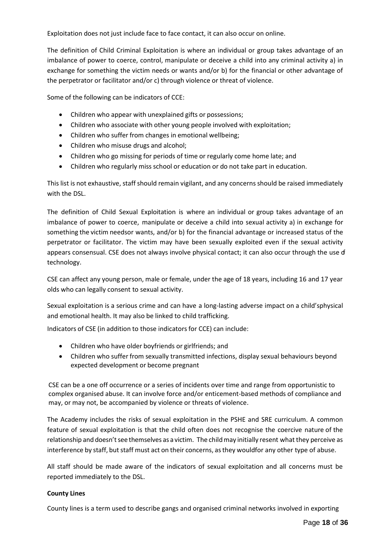Exploitation does not just include face to face contact, it can also occur on online.

The definition of Child Criminal Exploitation is where an individual or group takes advantage of an imbalance of power to coerce, control, manipulate or deceive a child into any criminal activity a) in exchange for something the victim needs or wants and/or b) for the financial or other advantage of the perpetrator or facilitator and/or c) through violence or threat of violence.

Some of the following can be indicators of CCE:

- Children who appear with unexplained gifts or possessions;
- Children who associate with other young people involved with exploitation;
- Children who suffer from changes in emotional wellbeing;
- Children who misuse drugs and alcohol;
- Children who go missing for periods of time or regularly come home late; and
- Children who regularly miss school or education or do not take part in education.

This list is not exhaustive, staff should remain vigilant, and any concerns should be raised immediately with the DSL.

The definition of Child Sexual Exploitation is where an individual or group takes advantage of an imbalance of power to coerce, manipulate or deceive a child into sexual activity a) in exchange for something the victim needsor wants, and/or b) for the financial advantage or increased status of the perpetrator or facilitator. The victim may have been sexually exploited even if the sexual activity appears consensual. CSE does not always involve physical contact; it can also occur through the use of technology.

CSE can affect any young person, male or female, under the age of 18 years, including 16 and 17 year olds who can legally consent to sexual activity.

Sexual exploitation is a serious crime and can have a long-lasting adverse impact on a child'sphysical and emotional health. It may also be linked to child trafficking.

Indicators of CSE (in addition to those indicators for CCE) can include:

- Children who have older boyfriends or girlfriends; and
- Children who suffer from sexually transmitted infections, display sexual behaviours beyond expected development or become pregnant

CSE can be a one off occurrence or a series of incidents over time and range from opportunistic to complex organised abuse. It can involve force and/or enticement-based methods of compliance and may, or may not, be accompanied by violence or threats of violence.

The Academy includes the risks of sexual exploitation in the PSHE and SRE curriculum. A common feature of sexual exploitation is that the child often does not recognise the coercive nature of the relationship and doesn't see themselves as a victim. The child may initially resent what they perceive as interference by staff, but staff must act on their concerns, as they wouldfor any other type of abuse.

All staff should be made aware of the indicators of sexual exploitation and all concerns must be reported immediately to the DSL.

#### <span id="page-17-0"></span>**County Lines**

County lines is a term used to describe gangs and organised criminal networks involved in exporting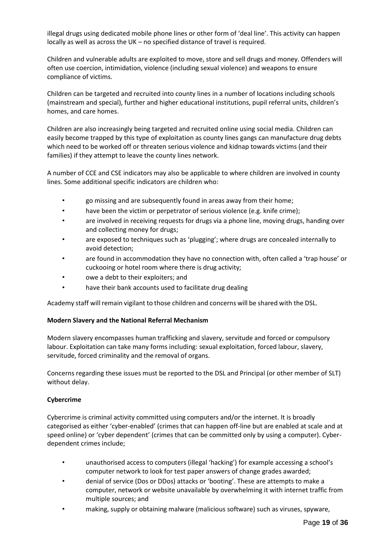illegal drugs using dedicated mobile phone lines or other form of 'deal line'. This activity can happen locally as well as across the UK – no specified distance of travel is required.

Children and vulnerable adults are exploited to move, store and sell drugs and money. Offenders will often use coercion, intimidation, violence (including sexual violence) and weapons to ensure compliance of victims.

Children can be targeted and recruited into county lines in a number of locations including schools (mainstream and special), further and higher educational institutions, pupil referral units, children's homes, and care homes.

Children are also increasingly being targeted and recruited online using social media. Children can easily become trapped by this type of exploitation as county lines gangs can manufacture drug debts which need to be worked off or threaten serious violence and kidnap towards victims (and their families) if they attempt to leave the county lines network.

A number of CCE and CSE indicators may also be applicable to where children are involved in county lines. Some additional specific indicators are children who:

- go missing and are subsequently found in areas away from their home;
- have been the victim or perpetrator of serious violence (e.g. knife crime);
- are involved in receiving requests for drugs via a phone line, moving drugs, handing over and collecting money for drugs;
- are exposed to techniques such as 'plugging'; where drugs are concealed internally to avoid detection;
- are found in accommodation they have no connection with, often called a 'trap house' or cuckooing or hotel room where there is drug activity;
- owe a debt to their exploiters; and
- have their bank accounts used to facilitate drug dealing

Academy staff will remain vigilant to those children and concerns will be shared with the DSL.

#### <span id="page-18-0"></span>**Modern Slavery and the National Referral Mechanism**

Modern slavery encompasses human trafficking and slavery, servitude and forced or compulsory labour. Exploitation can take many forms including: sexual exploitation, forced labour, slavery, servitude, forced criminality and the removal of organs.

Concerns regarding these issues must be reported to the DSL and Principal (or other member of SLT) without delay.

#### <span id="page-18-1"></span>**Cybercrime**

Cybercrime is criminal activity committed using computers and/or the internet. It is broadly categorised as either 'cyber-enabled' (crimes that can happen off-line but are enabled at scale and at speed online) or 'cyber dependent' (crimes that can be committed only by using a computer). Cyberdependent crimes include;

- unauthorised access to computers (illegal 'hacking') for example accessing a school's computer network to look for test paper answers of change grades awarded;
- denial of service (Dos or DDos) attacks or 'booting'. These are attempts to make a computer, network or website unavailable by overwhelming it with internet traffic from multiple sources; and
- making, supply or obtaining malware (malicious software) such as viruses, spyware,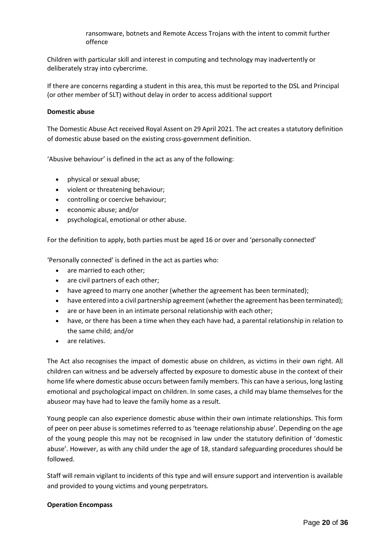## ransomware, botnets and Remote Access Trojans with the intent to commit further offence

Children with particular skill and interest in computing and technology may inadvertently or deliberately stray into cybercrime.

If there are concerns regarding a student in this area, this must be reported to the DSL and Principal (or other member of SLT) without delay in order to access additional support

#### <span id="page-19-0"></span>**Domestic abuse**

The Domestic Abuse Act received Royal Assent on 29 April 2021. The act creates a statutory definition of domestic abuse based on the existing cross-government definition.

'Abusive behaviour' is defined in the act as any of the following:

- physical or sexual abuse;
- violent or threatening behaviour;
- controlling or coercive behaviour;
- economic abuse; and/or
- psychological, emotional or other abuse.

For the definition to apply, both parties must be aged 16 or over and 'personally connected'

'Personally connected' is defined in the act as parties who:

- are married to each other;
- are civil partners of each other;
- have agreed to marry one another (whether the agreement has been terminated);
- have entered into a civil partnership agreement (whether the agreement has been terminated);
- are or have been in an intimate personal relationship with each other;
- have, or there has been a time when they each have had, a parental relationship in relation to the same child; and/or
- are relatives.

The Act also recognises the impact of domestic abuse on children, as victims in their own right. All children can witness and be adversely affected by exposure to domestic abuse in the context of their home life where domestic abuse occurs between family members. This can have a serious, long lasting emotional and psychological impact on children. In some cases, a child may blame themselves for the abuseor may have had to leave the family home as a result.

Young people can also experience domestic abuse within their own intimate relationships. This form of peer on peer abuse is sometimes referred to as 'teenage relationship abuse'. Depending on the age of the young people this may not be recognised in law under the statutory definition of 'domestic abuse'. However, as with any child under the age of 18, standard safeguarding procedures should be followed.

Staff will remain vigilant to incidents of this type and will ensure support and intervention is available and provided to young victims and young perpetrators.

#### <span id="page-19-1"></span>**Operation Encompass**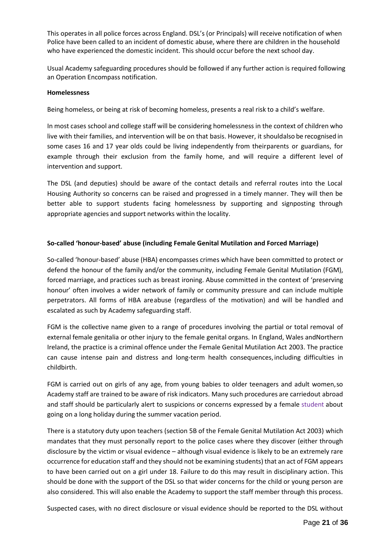This operates in all police forces across England. DSL's (or Principals) will receive notification of when Police have been called to an incident of domestic abuse, where there are children in the household who have experienced the domestic incident. This should occur before the next school day.

Usual Academy safeguarding procedures should be followed if any further action is required following an Operation Encompass notification.

#### <span id="page-20-0"></span>**Homelessness**

Being homeless, or being at risk of becoming homeless, presents a real risk to a child's welfare.

In most cases school and college staff will be considering homelessness in the context of children who live with their families, and intervention will be on that basis. However, it shouldalso be recognised in some cases 16 and 17 year olds could be living independently from theirparents or guardians, for example through their exclusion from the family home, and will require a different level of intervention and support.

The DSL (and deputies) should be aware of the contact details and referral routes into the Local Housing Authority so concerns can be raised and progressed in a timely manner. They will then be better able to support students facing homelessness by supporting and signposting through appropriate agencies and support networks within the locality.

## <span id="page-20-1"></span>**So-called 'honour-based' abuse (including Female Genital Mutilation and Forced Marriage)**

So-called 'honour-based' abuse (HBA) encompasses crimes which have been committed to protect or defend the honour of the family and/or the community, including Female Genital Mutilation (FGM), forced marriage, and practices such as breast ironing. Abuse committed in the context of 'preserving honour' often involves a wider network of family or community pressure and can include multiple perpetrators. All forms of HBA areabuse (regardless of the motivation) and will be handled and escalated as such by Academy safeguarding staff.

FGM is the collective name given to a range of procedures involving the partial or total removal of external female genitalia or other injury to the female genital organs. In England, Wales andNorthern Ireland, the practice is a criminal offence under the Female Genital Mutilation Act 2003. The practice can cause intense pain and distress and long-term health consequences, including difficulties in childbirth.

FGM is carried out on girls of any age, from young babies to older teenagers and adult women,so Academy staff are trained to be aware of risk indicators. Many such procedures are carriedout abroad and staff should be particularly alert to suspicions or concerns expressed by a female student about going on a long holiday during the summer vacation period.

There is a statutory duty upon teachers (section 5B of the Female Genital Mutilation Act 2003) which mandates that they must personally report to the police cases where they discover (either through disclosure by the victim or visual evidence – although visual evidence is likely to be an extremely rare occurrence for education staff and they should not be examining students) that an act of FGM appears to have been carried out on a girl under 18. Failure to do this may result in disciplinary action. This should be done with the support of the DSL so that wider concerns for the child or young person are also considered. This will also enable the Academy to support the staff member through this process.

Suspected cases, with no direct disclosure or visual evidence should be reported to the DSL without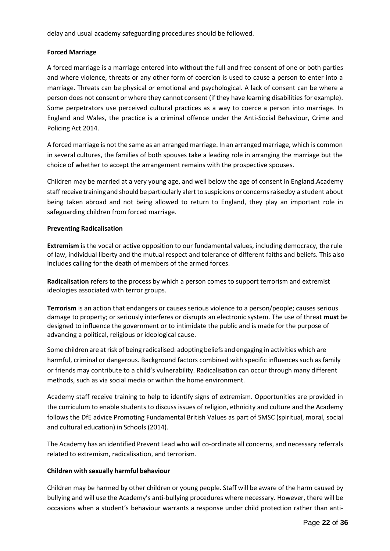delay and usual academy safeguarding procedures should be followed.

## <span id="page-21-0"></span>**Forced Marriage**

A forced marriage is a marriage entered into without the full and free consent of one or both parties and where violence, threats or any other form of coercion is used to cause a person to enter into a marriage. Threats can be physical or emotional and psychological. A lack of consent can be where a person does not consent or where they cannot consent (if they have learning disabilities for example). Some perpetrators use perceived cultural practices as a way to coerce a person into marriage. In England and Wales, the practice is a criminal offence under the Anti-Social Behaviour, Crime and Policing Act 2014.

A forced marriage is not the same as an arranged marriage. In an arranged marriage, which is common in several cultures, the families of both spouses take a leading role in arranging the marriage but the choice of whether to accept the arrangement remains with the prospective spouses.

Children may be married at a very young age, and well below the age of consent in England.Academy staff receive training and should be particularly alert to suspicions or concerns raisedby a student about being taken abroad and not being allowed to return to England, they play an important role in safeguarding children from forced marriage.

## <span id="page-21-1"></span>**Preventing Radicalisation**

**Extremism** is the vocal or active opposition to our fundamental values, including democracy, the rule of law, individual liberty and the mutual respect and tolerance of different faiths and beliefs. This also includes calling for the death of members of the armed forces.

**Radicalisation** refers to the process by which a person comes to support terrorism and extremist ideologies associated with terror groups.

**Terrorism** is an action that endangers or causes serious violence to a person/people; causes serious damage to property; or seriously interferes or disrupts an electronic system. The use of threat **must** be designed to influence the government or to intimidate the public and is made for the purpose of advancing a political, religious or ideological cause.

Some children are atrisk of being radicalised: adopting beliefs and engaging in activities which are harmful, criminal or dangerous. Background factors combined with specific influences such as family or friends may contribute to a child's vulnerability. Radicalisation can occur through many different methods, such as via social media or within the home environment.

Academy staff receive training to help to identify signs of extremism. Opportunities are provided in the curriculum to enable students to discuss issues of religion, ethnicity and culture and the Academy follows the DfE advice Promoting Fundamental British Values as part of SMSC (spiritual, moral, social and cultural education) in Schools (2014).

The Academy has an identified Prevent Lead who will co-ordinate all concerns, and necessary referrals related to extremism, radicalisation, and terrorism.

## <span id="page-21-2"></span>**Children with sexually harmful behaviour**

Children may be harmed by other children or young people. Staff will be aware of the harm caused by bullying and will use the Academy's anti-bullying procedures where necessary. However, there will be occasions when a student's behaviour warrants a response under child protection rather than anti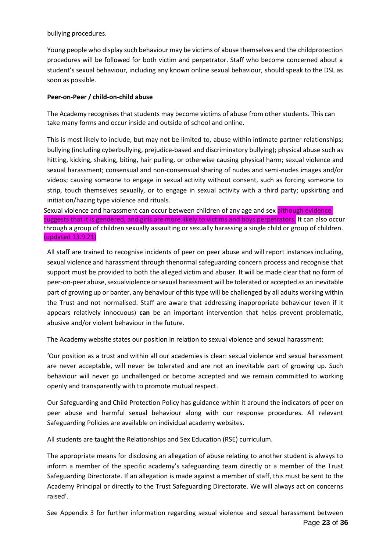bullying procedures.

Young people who display such behaviour may be victims of abuse themselves and the childprotection procedures will be followed for both victim and perpetrator. Staff who become concerned about a student's sexual behaviour, including any known online sexual behaviour, should speak to the DSL as soon as possible.

## <span id="page-22-0"></span>**Peer-on-Peer / child-on-child abuse**

The Academy recognises that students may become victims of abuse from other students. This can take many forms and occur inside and outside of school and online.

This is most likely to include, but may not be limited to, abuse within intimate partner relationships; bullying (including cyberbullying, prejudice-based and discriminatory bullying); physical abuse such as hitting, kicking, shaking, biting, hair pulling, or otherwise causing physical harm; sexual violence and sexual harassment; consensual and non-consensual sharing of nudes and semi-nudes images and/or videos; causing someone to engage in sexual activity without consent, such as forcing someone to strip, touch themselves sexually, or to engage in sexual activity with a third party; upskirting and initiation/hazing type violence and rituals.

Sexual violence and harassment can occur between children of any age and sex although evidence suggests that it is gendered, and girls are more likely to victims and boys perpetrators. It can also occur through a group of children sexually assaulting or sexually harassing a single child or group of children. (updated 13.9.21)

All staff are trained to recognise incidents of peer on peer abuse and will report instances including, sexual violence and harassment through thenormal safeguarding concern process and recognise that support must be provided to both the alleged victim and abuser. It will be made clear that no form of peer-on-peer abuse, sexualviolence or sexual harassment will be tolerated or accepted as an inevitable part of growing up or banter, any behaviour of this type will be challenged by all adults working within the Trust and not normalised. Staff are aware that addressing inappropriate behaviour (even if it appears relatively innocuous) **can** be an important intervention that helps prevent problematic, abusive and/or violent behaviour in the future.

The Academy website states our position in relation to sexual violence and sexual harassment:

'Our position as a trust and within all our academies is clear: sexual violence and sexual harassment are never acceptable, will never be tolerated and are not an inevitable part of growing up. Such behaviour will never go unchallenged or become accepted and we remain committed to working openly and transparently with to promote mutual respect.

Our Safeguarding and Child Protection Policy has guidance within it around the indicators of peer on peer abuse and harmful sexual behaviour along with our response procedures. All relevant Safeguarding Policies are available on individual academy websites.

All students are taught the Relationships and Sex Education (RSE) curriculum.

The appropriate means for disclosing an allegation of abuse relating to another student is always to inform a member of the specific academy's safeguarding team directly or a member of the Trust Safeguarding Directorate. If an allegation is made against a member of staff, this must be sent to the Academy Principal or directly to the Trust Safeguarding Directorate. We will always act on concerns raised'.

Page **23** of **36** See Appendix 3 for further information regarding sexual violence and sexual harassment between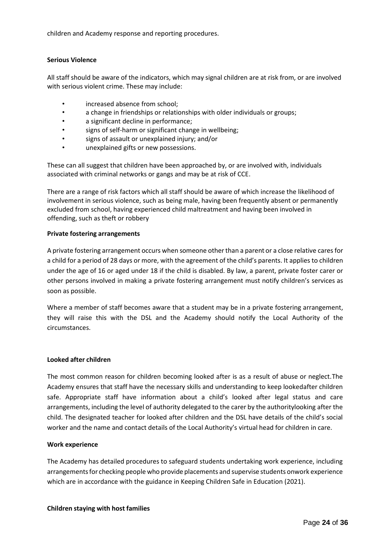children and Academy response and reporting procedures.

#### <span id="page-23-0"></span>**Serious Violence**

All staff should be aware of the indicators, which may signal children are at risk from, or are involved with serious violent crime. These may include:

- increased absence from school;
- a change in friendships or relationships with older individuals or groups;
- a significant decline in performance;
- signs of self-harm or significant change in wellbeing;
- signs of assault or unexplained injury; and/or
- unexplained gifts or new possessions.

These can all suggest that children have been approached by, or are involved with, individuals associated with criminal networks or gangs and may be at risk of CCE.

There are a range of risk factors which all staff should be aware of which increase the likelihood of involvement in serious violence, such as being male, having been frequently absent or permanently excluded from school, having experienced child maltreatment and having been involved in offending, such as theft or robbery

#### <span id="page-23-1"></span>**Private fostering arrangements**

A private fostering arrangement occurs when someone otherthan a parent or a close relative cares for a child for a period of 28 days or more, with the agreement of the child's parents. It applies to children under the age of 16 or aged under 18 if the child is disabled. By law, a parent, private foster carer or other persons involved in making a private fostering arrangement must notify children's services as soon as possible.

Where a member of staff becomes aware that a student may be in a private fostering arrangement, they will raise this with the DSL and the Academy should notify the Local Authority of the circumstances.

#### <span id="page-23-2"></span>**Looked after children**

The most common reason for children becoming looked after is as a result of abuse or neglect.The Academy ensures that staff have the necessary skills and understanding to keep lookedafter children safe. Appropriate staff have information about a child's looked after legal status and care arrangements, including the level of authority delegated to the carer by the authoritylooking after the child. The designated teacher for looked after children and the DSL have details of the child's social worker and the name and contact details of the Local Authority's virtual head for children in care.

#### <span id="page-23-3"></span>**Work experience**

<span id="page-23-4"></span>The Academy has detailed procedures to safeguard students undertaking work experience, including arrangements for checking people who provide placements and supervise students onwork experience which are in accordance with the guidance in Keeping Children Safe in Education (2021).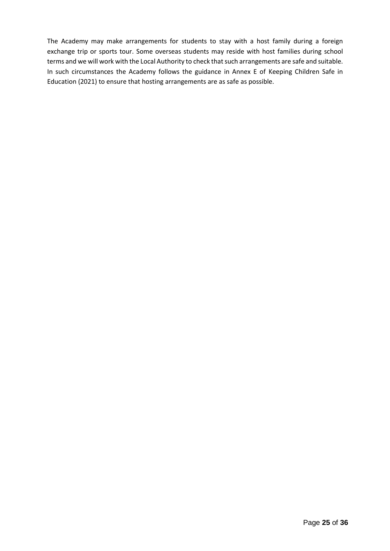The Academy may make arrangements for students to stay with a host family during a foreign exchange trip or sports tour. Some overseas students may reside with host families during school terms and we will work with the Local Authority to check that such arrangements are safe and suitable. In such circumstances the Academy follows the guidance in Annex E of Keeping Children Safe in Education (2021) to ensure that hosting arrangements are as safe as possible.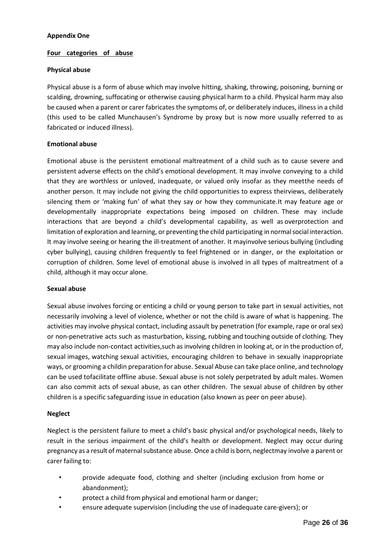## <span id="page-25-0"></span>**Appendix One**

## **Four categories of abuse**

## **Physical abuse**

Physical abuse is a form of abuse which may involve hitting, shaking, throwing, poisoning, burning or scalding, drowning, suffocating or otherwise causing physical harm to a child. Physical harm may also be caused when a parent or carer fabricates the symptoms of, or deliberately induces, illness in a child (this used to be called Munchausen's Syndrome by proxy but is now more usually referred to as fabricated or induced illness).

## <span id="page-25-1"></span>**Emotional abuse**

Emotional abuse is the persistent emotional maltreatment of a child such as to cause severe and persistent adverse effects on the child's emotional development. It may involve conveying to a child that they are worthless or unloved, inadequate, or valued only insofar as they meetthe needs of another person. It may include not giving the child opportunities to express theirviews, deliberately silencing them or 'making fun' of what they say or how they communicate.It may feature age or developmentally inappropriate expectations being imposed on children. These may include interactions that are beyond a child's developmental capability, as well as overprotection and limitation of exploration and learning, or preventing the child participating in normalsocial interaction. It may involve seeing or hearing the ill-treatment of another. It mayinvolve serious bullying (including cyber bullying), causing children frequently to feel frightened or in danger, or the exploitation or corruption of children. Some level of emotional abuse is involved in all types of maltreatment of a child, although it may occur alone.

#### <span id="page-25-2"></span>**Sexual abuse**

Sexual abuse involves forcing or enticing a child or young person to take part in sexual activities, not necessarily involving a level of violence, whether or not the child is aware of what is happening. The activities may involve physical contact, including assault by penetration (for example, rape or oral sex) or non-penetrative acts such as masturbation, kissing, rubbing and touching outside of clothing. They may also include non-contact activities,such as involving children in looking at, or in the production of, sexual images, watching sexual activities, encouraging children to behave in sexually inappropriate ways, or grooming a childin preparation for abuse. Sexual Abuse can take place online, and technology can be used tofacilitate offline abuse. Sexual abuse is not solely perpetrated by adult males. Women can also commit acts of sexual abuse, as can other children. The sexual abuse of children by other children is a specific safeguarding issue in education (also known as peer on peer abuse).

#### <span id="page-25-3"></span>**Neglect**

Neglect is the persistent failure to meet a child's basic physical and/or psychological needs, likely to result in the serious impairment of the child's health or development. Neglect may occur during pregnancy as a result of maternalsubstance abuse. Once a child is born, neglectmay involve a parent or carer failing to:

- provide adequate food, clothing and shelter (including exclusion from home or abandonment);
- protect a child from physical and emotional harm or danger;
- ensure adequate supervision (including the use of inadequate care-givers); or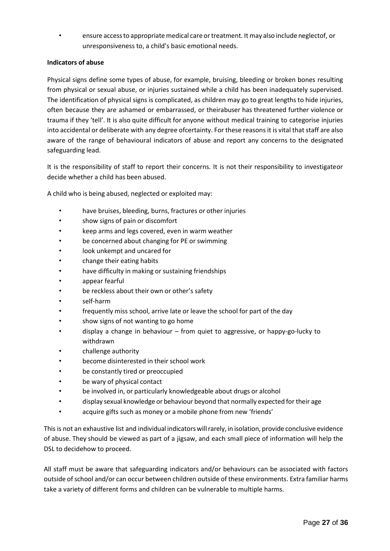• ensure accessto appropriate medical care ortreatment. It may also include neglectof, or unresponsiveness to, a child's basic emotional needs.

## <span id="page-26-0"></span>**Indicators of abuse**

Physical signs define some types of abuse, for example, bruising, bleeding or broken bones resulting from physical or sexual abuse, or injuries sustained while a child has been inadequately supervised. The identification of physical signs is complicated, as children may go to great lengths to hide injuries, often because they are ashamed or embarrassed, or theirabuser has threatened further violence or trauma if they 'tell'. It is also quite difficult for anyone without medical training to categorise injuries into accidental or deliberate with any degree ofcertainty. For these reasons it is vital that staff are also aware of the range of behavioural indicators of abuse and report any concerns to the designated safeguarding lead.

It is the responsibility of staff to report their concerns. It is not their responsibility to investigateor decide whether a child has been abused.

A child who is being abused, neglected or exploited may:

- have bruises, bleeding, burns, fractures or other injuries
- show signs of pain or discomfort
- keep arms and legs covered, even in warm weather
- be concerned about changing for PE or swimming
- look unkempt and uncared for
- change their eating habits
- have difficulty in making or sustaining friendships
- appear fearful
- be reckless about their own or other's safety
- self-harm
- frequently miss school, arrive late or leave the school for part of the day
- show signs of not wanting to go home
- display a change in behaviour from quiet to aggressive, or happy-go-lucky to withdrawn
- challenge authority
- become disinterested in their school work
- be constantly tired or preoccupied
- be wary of physical contact
- be involved in, or particularly knowledgeable about drugs or alcohol
- display sexual knowledge or behaviour beyond that normally expected for their age
- acquire gifts such as money or a mobile phone from new 'friends'

This is not an exhaustive list and individual indicatorswillrarely, in isolation, provide conclusive evidence of abuse. They should be viewed as part of a jigsaw, and each small piece of information will help the DSL to decidehow to proceed.

All staff must be aware that safeguarding indicators and/or behaviours can be associated with factors outside of school and/or can occur between children outside of these environments. Extra familiar harms take a variety of different forms and children can be vulnerable to multiple harms.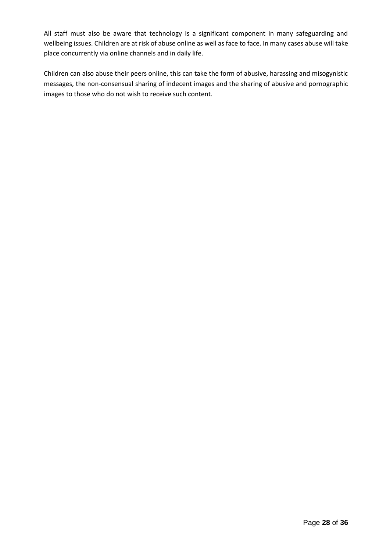All staff must also be aware that technology is a significant component in many safeguarding and wellbeing issues. Children are at risk of abuse online as well as face to face. In many cases abuse will take place concurrently via online channels and in daily life.

Children can also abuse their peers online, this can take the form of abusive, harassing and misogynistic messages, the non-consensual sharing of indecent images and the sharing of abusive and pornographic images to those who do not wish to receive such content.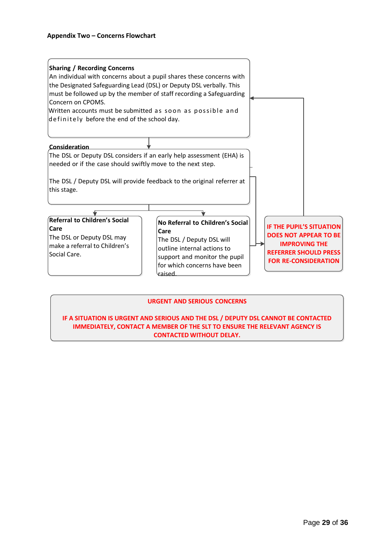<span id="page-28-0"></span>

#### **URGENT AND SERIOUS CONCERNS**

## **IF A SITUATION IS URGENT AND SERIOUS AND THE DSL / DEPUTY DSL CANNOT BE CONTACTED IMMEDIATELY, CONTACT A MEMBER OF THE SLT TO ENSURE THE RELEVANT AGENCY IS CONTACTED WITHOUT DELAY.**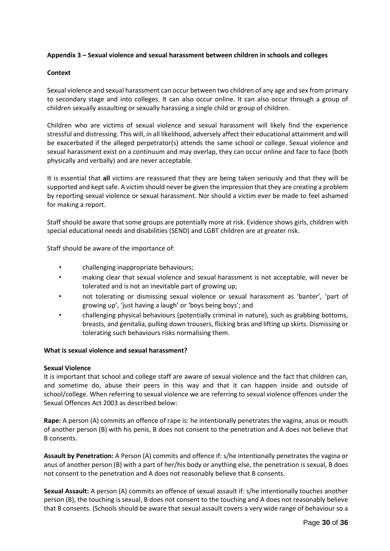## <span id="page-29-0"></span>**Appendix 3 – Sexual violence and sexual harassment between children in schools and colleges**

#### **Context**

Sexual violence and sexual harassment can occur between two children of any age and sex from primary to secondary stage and into colleges. It can also occur online. It can also occur through a group of children sexually assaulting or sexually harassing a single child or group of children.

Children who are victims of sexual violence and sexual harassment will likely find the experience stressful and distressing. This will, in all likelihood, adversely affect their educational attainment and will be exacerbated if the alleged perpetrator(s) attends the same school or college. Sexual violence and sexual harassment exist on a continuum and may overlap, they can occur online and face to face (both physically and verbally) and are never acceptable.

It is essential that **all** victims are reassured that they are being taken seriously and that they will be supported and kept safe. A victim should never be given the impression that they are creating a problem by reporting sexual violence or sexual harassment. Nor should a victim ever be made to feel ashamed for making a report.

Staff should be aware that some groups are potentially more at risk. Evidence shows girls, children with special educational needs and disabilities (SEND) and LGBT children are at greater risk.

Staff should be aware of the importance of:

- challenging inappropriate behaviours;
- making clear that sexual violence and sexual harassment is not acceptable, will never be tolerated and is not an inevitable part of growing up;
- not tolerating or dismissing sexual violence or sexual harassment as 'banter', 'part of growing up', 'just having a laugh' or 'boys being boys'; and
- challenging physical behaviours (potentially criminal in nature), such as grabbing bottoms, breasts, and genitalia, pulling down trousers, flicking bras and lifting up skirts. Dismissing or tolerating such behaviours risks normalising them.

#### **What is sexual violence and sexual harassment?**

#### **Sexual Violence**

It is important that school and college staff are aware of sexual violence and the fact that children can, and sometime do, abuse their peers in this way and that it can happen inside and outside of school/college. When referring to sexual violence we are referring to sexual violence offences under the Sexual Offences Act 2003 as described below:

**Rape:** A person (A) commits an offence of rape is: he intentionally penetrates the vagina, anus or mouth of another person (B) with his penis, B does not consent to the penetration and A does not believe that B consents.

**Assault by Penetration:** A Person (A) commits and offence if: s/he intentionally penetrates the vagina or anus of another person (B) with a part of her/his body or anything else, the penetration is sexual, B does not consent to the penetration and A does not reasonably believe that B consents.

**Sexual Assault:** A person (A) commits an offence of sexual assault if: s/he intentionally touches another person (B), the touching is sexual, B does not consent to the touching and A does not reasonably believe that B consents. (Schools should be aware that sexual assault covers a very wide range of behaviour so a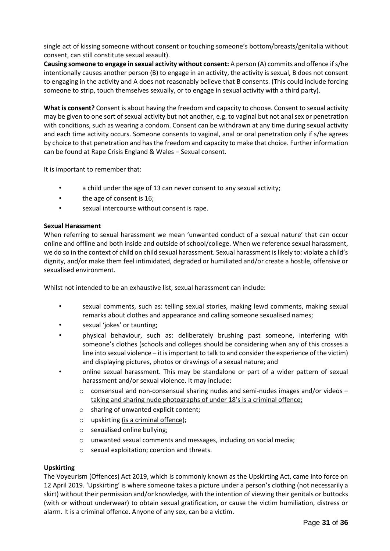single act of kissing someone without consent or touching someone's bottom/breasts/genitalia without consent, can still constitute sexual assault).

**Causing someone to engage in sexual activity without consent:** A person (A) commits and offence if s/he intentionally causes another person (B) to engage in an activity, the activity is sexual, B does not consent to engaging in the activity and A does not reasonably believe that B consents. (This could include forcing someone to strip, touch themselves sexually, or to engage in sexual activity with a third party).

**What is consent?** Consent is about having the freedom and capacity to choose. Consent to sexual activity may be given to one sort of sexual activity but not another, e.g. to vaginal but not anal sex or penetration with conditions, such as wearing a condom. Consent can be withdrawn at any time during sexual activity and each time activity occurs. Someone consents to vaginal, anal or oral penetration only if s/he agrees by choice to that penetration and has the freedom and capacity to make that choice. Further information can be found at Rape Crisis England & Wales – Sexual consent.

It is important to remember that:

- a child under the age of 13 can never consent to any sexual activity;
- the age of consent is 16;
- sexual intercourse without consent is rape.

#### **Sexual Harassment**

When referring to sexual harassment we mean 'unwanted conduct of a sexual nature' that can occur online and offline and both inside and outside of school/college. When we reference sexual harassment, we do so in the context of child on child sexual harassment. Sexual harassment is likely to: violate a child's dignity, and/or make them feel intimidated, degraded or humiliated and/or create a hostile, offensive or sexualised environment.

Whilst not intended to be an exhaustive list, sexual harassment can include:

- sexual comments, such as: telling sexual stories, making lewd comments, making sexual remarks about clothes and appearance and calling someone sexualised names;
- sexual 'jokes' or taunting;
- physical behaviour, such as: deliberately brushing past someone, interfering with someone's clothes (schools and colleges should be considering when any of this crosses a line into sexual violence – it is important to talk to and consider the experience of the victim) and displaying pictures, photos or drawings of a sexual nature; and
- online sexual harassment. This may be standalone or part of a wider pattern of sexual harassment and/or sexual violence. It may include:
	- $\circ$  consensual and non-consensual sharing nudes and semi-nudes images and/or videos taking and sharing nude photographs of under 18's is a criminal offence;
	- o sharing of unwanted explicit content;
	- o upskirting (is a criminal offence);
	- o sexualised online bullying;
	- o unwanted sexual comments and messages, including on social media;
	- o sexual exploitation; coercion and threats.

#### **Upskirting**

The Voyeurism (Offences) Act 2019, which is commonly known as the Upskirting Act, came into force on 12 April 2019. 'Upskirting' is where someone takes a picture under a person's clothing (not necessarily a skirt) without their permission and/or knowledge, with the intention of viewing their genitals or buttocks (with or without underwear) to obtain sexual gratification, or cause the victim humiliation, distress or alarm. It is a criminal offence. Anyone of any sex, can be a victim.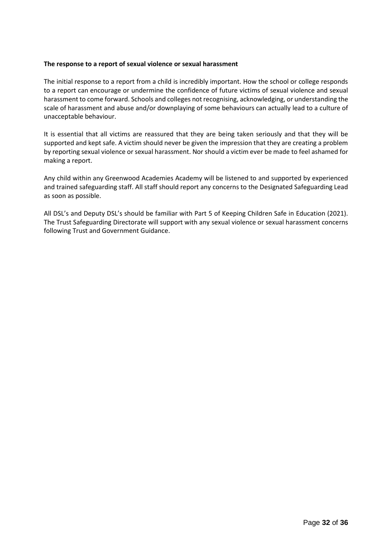#### **The response to a report of sexual violence or sexual harassment**

The initial response to a report from a child is incredibly important. How the school or college responds to a report can encourage or undermine the confidence of future victims of sexual violence and sexual harassment to come forward. Schools and colleges not recognising, acknowledging, or understanding the scale of harassment and abuse and/or downplaying of some behaviours can actually lead to a culture of unacceptable behaviour.

It is essential that all victims are reassured that they are being taken seriously and that they will be supported and kept safe. A victim should never be given the impression that they are creating a problem by reporting sexual violence or sexual harassment. Nor should a victim ever be made to feel ashamed for making a report.

Any child within any Greenwood Academies Academy will be listened to and supported by experienced and trained safeguarding staff. All staff should report any concerns to the Designated Safeguarding Lead as soon as possible.

All DSL's and Deputy DSL's should be familiar with Part 5 of Keeping Children Safe in Education (2021). The Trust Safeguarding Directorate will support with any sexual violence or sexual harassment concerns following Trust and Government Guidance.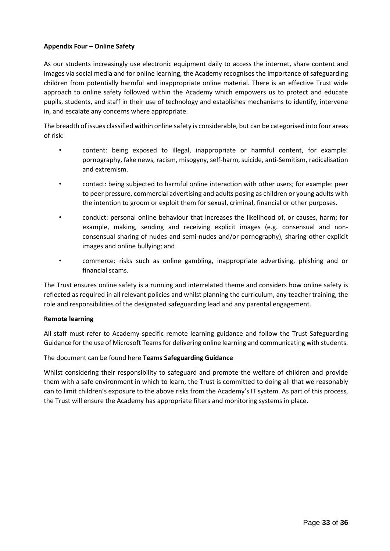## <span id="page-32-0"></span>**Appendix Four – Online Safety**

As our students increasingly use electronic equipment daily to access the internet, share content and images via social media and for online learning, the Academy recognises the importance of safeguarding children from potentially harmful and inappropriate online material. There is an effective Trust wide approach to online safety followed within the Academy which empowers us to protect and educate pupils, students, and staff in their use of technology and establishes mechanisms to identify, intervene in, and escalate any concerns where appropriate.

The breadth of issues classified within online safety is considerable, but can be categorised into four areas of risk:

- content: being exposed to illegal, inappropriate or harmful content, for example: pornography, fake news, racism, misogyny, self-harm, suicide, anti-Semitism, radicalisation and extremism.
- contact: being subjected to harmful online interaction with other users; for example: peer to peer pressure, commercial advertising and adults posing as children or young adults with the intention to groom or exploit them for sexual, criminal, financial or other purposes.
- conduct: personal online behaviour that increases the likelihood of, or causes, harm; for example, making, sending and receiving explicit images (e.g. consensual and nonconsensual sharing of nudes and semi-nudes and/or pornography), sharing other explicit images and online bullying; and
- commerce: risks such as online gambling, inappropriate advertising, phishing and or financial scams.

The Trust ensures online safety is a running and interrelated theme and considers how online safety is reflected as required in all relevant policies and whilst planning the curriculum, any teacher training, the role and responsibilities of the designated safeguarding lead and any parental engagement.

#### **Remote learning**

All staff must refer to Academy specific remote learning guidance and follow the Trust Safeguarding Guidance for the use of Microsoft Teams for delivering online learning and communicating with students.

The document can be found here **[Teams Safeguarding Guidance](https://nottinghamacademy.sharepoint.com/:w:/s/gwh_safeguarding/ETyCfi_M6Z5JmVw_uFszB3oBjuA0V98xwKGK4r160Qg9-g?e=Tw0jm9)**

Whilst considering their responsibility to safeguard and promote the welfare of children and provide them with a safe environment in which to learn, the Trust is committed to doing all that we reasonably can to limit children's exposure to the above risks from the Academy's IT system. As part of this process, the Trust will ensure the Academy has appropriate filters and monitoring systems in place.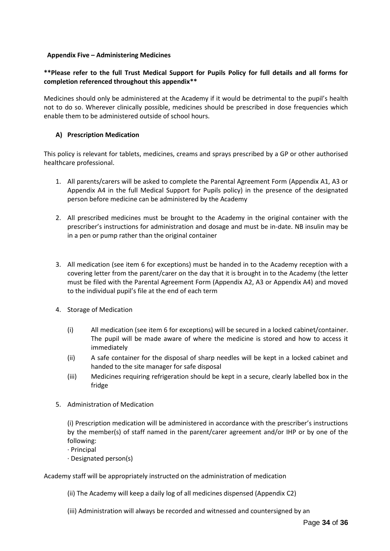## <span id="page-33-0"></span>**Appendix Five – Administering Medicines**

## **\*\*Please refer to the full Trust Medical Support for Pupils Policy for full details and all forms for completion referenced throughout this appendix\*\***

Medicines should only be administered at the Academy if it would be detrimental to the pupil's health not to do so. Wherever clinically possible, medicines should be prescribed in dose frequencies which enable them to be administered outside of school hours.

## **A) Prescription Medication**

This policy is relevant for tablets, medicines, creams and sprays prescribed by a GP or other authorised healthcare professional.

- 1. All parents/carers will be asked to complete the Parental Agreement Form (Appendix A1, A3 or Appendix A4 in the full Medical Support for Pupils policy) in the presence of the designated person before medicine can be administered by the Academy
- 2. All prescribed medicines must be brought to the Academy in the original container with the prescriber's instructions for administration and dosage and must be in-date. NB insulin may be in a pen or pump rather than the original container
- 3. All medication (see item 6 for exceptions) must be handed in to the Academy reception with a covering letter from the parent/carer on the day that it is brought in to the Academy (the letter must be filed with the Parental Agreement Form (Appendix A2, A3 or Appendix A4) and moved to the individual pupil's file at the end of each term
- 4. Storage of Medication
	- (i) All medication (see item 6 for exceptions) will be secured in a locked cabinet/container. The pupil will be made aware of where the medicine is stored and how to access it immediately
	- (ii) A safe container for the disposal of sharp needles will be kept in a locked cabinet and handed to the site manager for safe disposal
	- (iii) Medicines requiring refrigeration should be kept in a secure, clearly labelled box in the fridge
- 5. Administration of Medication

(i) Prescription medication will be administered in accordance with the prescriber's instructions by the member(s) of staff named in the parent/carer agreement and/or IHP or by one of the following:

- · Principal
- · Designated person(s)

Academy staff will be appropriately instructed on the administration of medication

(ii) The Academy will keep a daily log of all medicines dispensed (Appendix C2)

(iii) Administration will always be recorded and witnessed and countersigned by an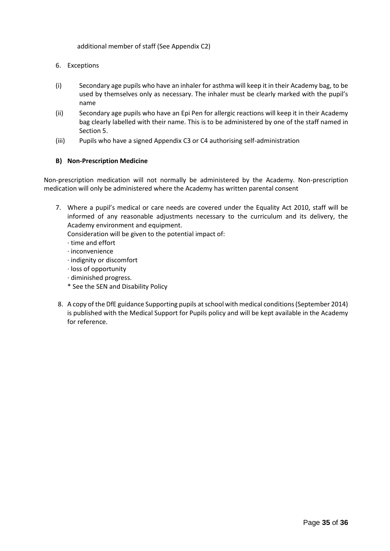additional member of staff (See Appendix C2)

- 6. Exceptions
- (i) Secondary age pupils who have an inhaler for asthma will keep it in their Academy bag, to be used by themselves only as necessary. The inhaler must be clearly marked with the pupil's name
- (ii) Secondary age pupils who have an Epi Pen for allergic reactions will keep it in their Academy bag clearly labelled with their name. This is to be administered by one of the staff named in Section 5.
- (iii) Pupils who have a signed Appendix C3 or C4 authorising self-administration

## **B) Non-Prescription Medicine**

Non-prescription medication will not normally be administered by the Academy. Non-prescription medication will only be administered where the Academy has written parental consent

7. Where a pupil's medical or care needs are covered under the Equality Act 2010, staff will be informed of any reasonable adjustments necessary to the curriculum and its delivery, the Academy environment and equipment.

Consideration will be given to the potential impact of:

- · time and effort
- · inconvenience
- · indignity or discomfort
- · loss of opportunity
- · diminished progress.
- \* See the SEN and Disability Policy
- 8. A copy of the DfE guidance Supporting pupils at school with medical conditions (September 2014) is published with the Medical Support for Pupils policy and will be kept available in the Academy for reference.